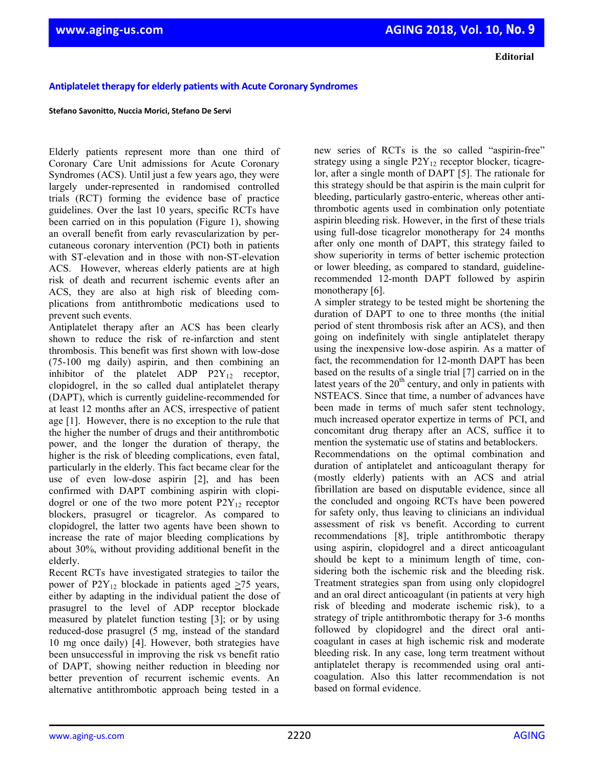**Editorial**

# **Antiplatelet therapy for elderly patients with Acute Coronary Syndromes**

#### **Stefano Savonitto, Nuccia Morici, Stefano De Servi**

Elderly patients represent more than one third of Coronary Care Unit admissions for Acute Coronary Syndromes (ACS). Until just a few years ago, they were largely under-represented in randomised controlled trials (RCT) forming the evidence base of practice guidelines. Over the last 10 years, specific RCTs have been carried on in this population (Figure 1), showing an overall benefit from early revascularization by percutaneous coronary intervention (PCI) both in patients with ST-elevation and in those with non-ST-elevation ACS. However, whereas elderly patients are at high risk of death and recurrent ischemic events after an ACS, they are also at high risk of bleeding complications from antithrombotic medications used to prevent such events.

Antiplatelet therapy after an ACS has been clearly shown to reduce the risk of re-infarction and stent thrombosis. This benefit was first shown with low-dose (75-100 mg daily) aspirin, and then combining an inhibitor of the platelet ADP  $P2Y_{12}$  receptor, clopidogrel, in the so called dual antiplatelet therapy (DAPT), which is currently guideline-recommended for at least 12 months after an ACS, irrespective of patient age [1]. However, there is no exception to the rule that the higher the number of drugs and their antithrombotic power, and the longer the duration of therapy, the higher is the risk of bleeding complications, even fatal, particularly in the elderly. This fact became clear for the use of even low-dose aspirin [2], and has been confirmed with DAPT combining aspirin with clopidogrel or one of the two more potent  $P2Y_{12}$  receptor blockers, prasugrel or ticagrelor. As compared to clopidogrel, the latter two agents have been shown to increase the rate of major bleeding complications by about 30%, without providing additional benefit in the elderly.

Recent RCTs have investigated strategies to tailor the power of P2Y<sub>12</sub> blockade in patients aged  $\geq$ 75 years, either by adapting in the individual patient the dose of prasugrel to the level of ADP receptor blockade measured by platelet function testing [3]; or by using reduced-dose prasugrel (5 mg, instead of the standard 10 mg once daily) [4]. However, both strategies have been unsuccessful in improving the risk vs benefit ratio of DAPT, showing neither reduction in bleeding nor better prevention of recurrent ischemic events. An alternative antithrombotic approach being tested in a

new series of RCTs is the so called "aspirin-free" strategy using a single  $P2Y_{12}$  receptor blocker, ticagrelor, after a single month of DAPT [5]. The rationale for this strategy should be that aspirin is the main culprit for bleeding, particularly gastro-enteric, whereas other antithrombotic agents used in combination only potentiate aspirin bleeding risk. However, in the first of these trials using full-dose ticagrelor monotherapy for 24 months after only one month of DAPT, this strategy failed to show superiority in terms of better ischemic protection or lower bleeding, as compared to standard, guidelinerecommended 12-month DAPT followed by aspirin monotherapy [6].

A simpler strategy to be tested might be shortening the duration of DAPT to one to three months (the initial period of stent thrombosis risk after an ACS), and then going on indefinitely with single antiplatelet therapy using the inexpensive low-dose aspirin. As a matter of fact, the recommendation for 12-month DAPT has been based on the results of a single trial [7] carried on in the latest years of the  $20<sup>th</sup>$  century, and only in patients with NSTEACS. Since that time, a number of advances have been made in terms of much safer stent technology, much increased operator expertize in terms of PCI, and concomitant drug therapy after an ACS, suffice it to mention the systematic use of statins and betablockers. Recommendations on the optimal combination and duration of antiplatelet and anticoagulant therapy for (mostly elderly) patients with an ACS and atrial fibrillation are based on disputable evidence, since all the concluded and ongoing RCTs have been powered for safety only, thus leaving to clinicians an individual assessment of risk vs benefit. According to current recommendations [8], triple antithrombotic therapy using aspirin, clopidogrel and a direct anticoagulant should be kept to a minimum length of time, considering both the ischemic risk and the bleeding risk. Treatment strategies span from using only clopidogrel and an oral direct anticoagulant (in patients at very high risk of bleeding and moderate ischemic risk), to a strategy of triple antithrombotic therapy for 3-6 months followed by clopidogrel and the direct oral anticoagulant in cases at high ischemic risk and moderate bleeding risk. In any case, long term treatment without antiplatelet therapy is recommended using oral anticoagulation. Also this latter recommendation is not based on formal evidence.